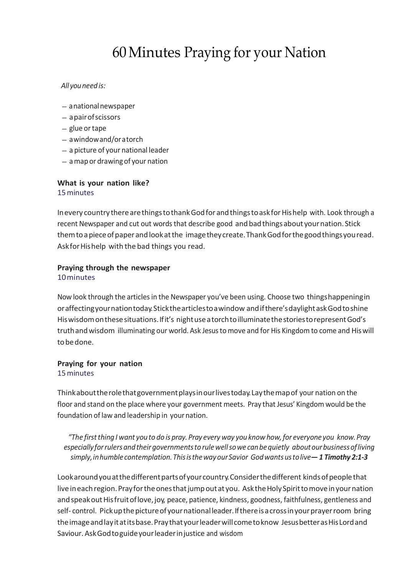# 60Minutes Praying for your Nation

#### *All youneed is:*

- anationalnewspaper
- apairofscissors
- $-$  glue or tape
- awindowand/oratorch
- a picture of your national leader
- amap or drawing of your nation

#### **What is your nation like?** 15minutes

Inevery country therearethingstothankGodfor andthingstoask forHishelp with. Look through a recent Newspaper and cut out words that describe good and bad things about your nation. Stick themtoapieceofpaper andlookatthe imagetheycreate.ThankGodforthegoodthingsyouread. Askfor Hishelp with the bad things you read.

#### **Praying through the newspaper** 10minutes

Now look through the articlesin the Newspaper you've been using. Choose two thingshappeningin oraffectingyournationtoday.Stickthearticlestoawindow andifthere'sdaylightaskGodtoshine Hiswisdomonthesesituations.Ifit's nightuseatorchtoilluminatethestoriestorepresentGod's truthandwisdom illuminating our world. Ask Jesusto move and for His Kingdom to come and Hiswill tobedone.

#### **Praying for your nation** 15minutes

Thinkabouttherolethatgovernmentplaysinourlivestoday.Laythemapof your nation on the floor and stand on the place where your government meets. Pray that Jesus' Kingdom would be the foundation of law and leadership in yournation.

*"The firstthing I want youto do is pray. Pray every way you know how,for everyone you know.Pray especiallyforrulers andtheirgovernmentstorulewellsowe canbequietly aboutourbusinessofliving simply,inhumblecontemplation.ThisisthewayourSavior Godwantsustolive— 1 Timothy 2:1-3*

Lookaround you at the different parts of your country. Consider the different kinds of people that live in each region. Pray for the ones that jump out at you. Ask the Holy Spirit to move in your nation and speak out His fruit of love, joy, peace, patience, kindness, goodness, faithfulness, gentleness and self- control. Pick up the picture of your national leader. If there is a cross in your prayer room bring the image and lay it at its base. Pray that your leader will come to know Jesus better as His Lord and Saviour.AskGodtoguideyourleaderinjustice and wisdom